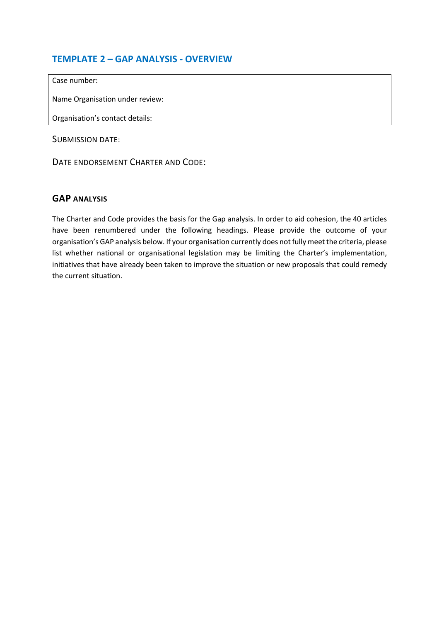## **TEMPLATE 2 – GAP ANALYSIS - OVERVIEW**

Case number:

Name Organisation under review:

Organisation's contact details:

SUBMISSION DATE:

DATE ENDORSEMENT CHARTER AND CODE:

## **GAP ANALYSIS**

The Charter and Code provides the basis for the Gap analysis. In order to aid cohesion, the 40 articles have been renumbered under the following headings. Please provide the outcome of your organisation's GAP analysis below. If your organisation currently does not fully meet the criteria, please list whether national or organisational legislation may be limiting the Charter's implementation, initiatives that have already been taken to improve the situation or new proposals that could remedy the current situation.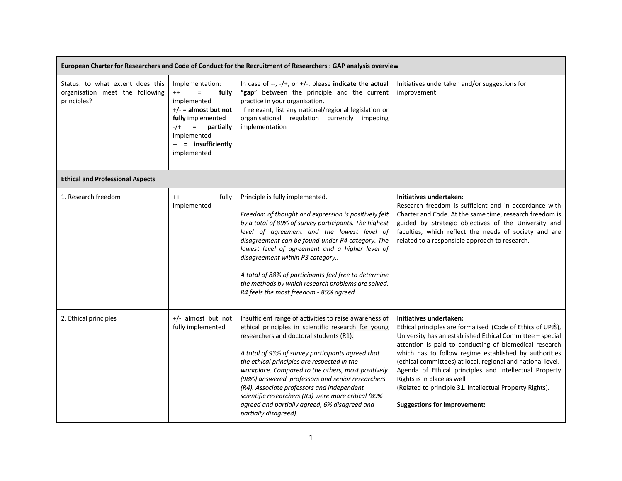| European Charter for Researchers and Code of Conduct for the Recruitment of Researchers : GAP analysis overview |                                                                                                                                                                                                 |                                                                                                                                                                                                                                                                                                                                                                                                                                                                                                                                                       |                                                                                                                                                                                                                                                                                                                                                                                                                                                                                                                                  |
|-----------------------------------------------------------------------------------------------------------------|-------------------------------------------------------------------------------------------------------------------------------------------------------------------------------------------------|-------------------------------------------------------------------------------------------------------------------------------------------------------------------------------------------------------------------------------------------------------------------------------------------------------------------------------------------------------------------------------------------------------------------------------------------------------------------------------------------------------------------------------------------------------|----------------------------------------------------------------------------------------------------------------------------------------------------------------------------------------------------------------------------------------------------------------------------------------------------------------------------------------------------------------------------------------------------------------------------------------------------------------------------------------------------------------------------------|
| Status: to what extent does this<br>organisation meet the following<br>principles?                              | Implementation:<br>$^{++}$<br>fully<br>$=$<br>implemented<br>$+/-$ = almost but not<br>fully implemented<br>$-/+$<br>$\equiv$<br>partially<br>implemented<br>-- = insufficiently<br>implemented | In case of $-$ , $-$ /+, or +/-, please indicate the actual<br>"gap" between the principle and the current<br>practice in your organisation.<br>If relevant, list any national/regional legislation or<br>organisational regulation currently impeding<br>implementation                                                                                                                                                                                                                                                                              | Initiatives undertaken and/or suggestions for<br>improvement:                                                                                                                                                                                                                                                                                                                                                                                                                                                                    |
| <b>Ethical and Professional Aspects</b>                                                                         |                                                                                                                                                                                                 |                                                                                                                                                                                                                                                                                                                                                                                                                                                                                                                                                       |                                                                                                                                                                                                                                                                                                                                                                                                                                                                                                                                  |
| 1. Research freedom                                                                                             | $++$<br>fully<br>implemented                                                                                                                                                                    | Principle is fully implemented.<br>Freedom of thought and expression is positively felt<br>by a total of 89% of survey participants. The highest<br>level of agreement and the lowest level of<br>disagreement can be found under R4 category. The<br>lowest level of agreement and a higher level of<br>disagreement within R3 category<br>A total of 88% of participants feel free to determine<br>the methods by which research problems are solved.<br>R4 feels the most freedom - 85% agreed.                                                    | Initiatives undertaken:<br>Research freedom is sufficient and in accordance with<br>Charter and Code. At the same time, research freedom is<br>guided by Strategic objectives of the University and<br>faculties, which reflect the needs of society and are<br>related to a responsible approach to research.                                                                                                                                                                                                                   |
| 2. Ethical principles                                                                                           | +/- almost but not<br>fully implemented                                                                                                                                                         | Insufficient range of activities to raise awareness of<br>ethical principles in scientific research for young<br>researchers and doctoral students (R1).<br>A total of 93% of survey participants agreed that<br>the ethical principles are respected in the<br>workplace. Compared to the others, most positively<br>(98%) answered professors and senior researchers<br>(R4). Associate professors and independent<br>scientific researchers (R3) were more critical (89%<br>agreed and partially agreed, 6% disagreed and<br>partially disagreed). | Initiatives undertaken:<br>Ethical principles are formalised (Code of Ethics of UPJŠ),<br>University has an established Ethical Committee - special<br>attention is paid to conducting of biomedical research<br>which has to follow regime established by authorities<br>(ethical committees) at local, regional and national level.<br>Agenda of Ethical principles and Intellectual Property<br>Rights is in place as well<br>(Related to principle 31. Intellectual Property Rights).<br><b>Suggestions for improvement:</b> |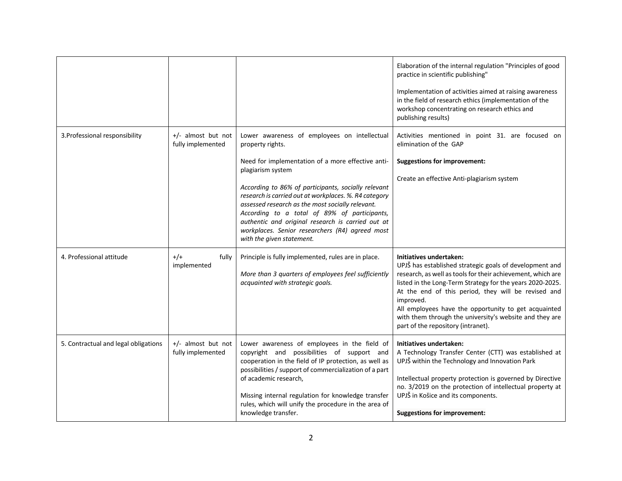|                                      |                                           |                                                                                                                                                                                                                                                                                                                                                                                                                                                                                                     | Elaboration of the internal regulation "Principles of good<br>practice in scientific publishing"<br>Implementation of activities aimed at raising awareness<br>in the field of research ethics (implementation of the<br>workshop concentrating on research ethics and<br>publishing results)                                                                                                                                               |
|--------------------------------------|-------------------------------------------|-----------------------------------------------------------------------------------------------------------------------------------------------------------------------------------------------------------------------------------------------------------------------------------------------------------------------------------------------------------------------------------------------------------------------------------------------------------------------------------------------------|---------------------------------------------------------------------------------------------------------------------------------------------------------------------------------------------------------------------------------------------------------------------------------------------------------------------------------------------------------------------------------------------------------------------------------------------|
| 3. Professional responsibility       | $+/-$ almost but not<br>fully implemented | Lower awareness of employees on intellectual<br>property rights.<br>Need for implementation of a more effective anti-<br>plagiarism system<br>According to 86% of participants, socially relevant<br>research is carried out at workplaces. %. R4 category<br>assessed research as the most socially relevant.<br>According to a total of 89% of participants,<br>authentic and original research is carried out at<br>workplaces. Senior researchers (R4) agreed most<br>with the given statement. | Activities mentioned in point 31. are focused on<br>elimination of the GAP<br><b>Suggestions for improvement:</b><br>Create an effective Anti-plagiarism system                                                                                                                                                                                                                                                                             |
| 4. Professional attitude             | $+/-$<br>fully<br>implemented             | Principle is fully implemented, rules are in place.<br>More than 3 quarters of employees feel sufficiently<br>acquainted with strategic goals.                                                                                                                                                                                                                                                                                                                                                      | Initiatives undertaken:<br>UPJŠ has established strategic goals of development and<br>research, as well as tools for their achievement, which are<br>listed in the Long-Term Strategy for the years 2020-2025.<br>At the end of this period, they will be revised and<br>improved.<br>All employees have the opportunity to get acquainted<br>with them through the university's website and they are<br>part of the repository (intranet). |
| 5. Contractual and legal obligations | $+/-$ almost but not<br>fully implemented | Lower awareness of employees in the field of<br>copyright and possibilities of support and<br>cooperation in the field of IP protection, as well as<br>possibilities / support of commercialization of a part<br>of academic research,<br>Missing internal regulation for knowledge transfer<br>rules, which will unify the procedure in the area of<br>knowledge transfer.                                                                                                                         | Initiatives undertaken:<br>A Technology Transfer Center (CTT) was established at<br>UPJŠ within the Technology and Innovation Park<br>Intellectual property protection is governed by Directive<br>no. 3/2019 on the protection of intellectual property at<br>UPJŠ in Košice and its components.<br><b>Suggestions for improvement:</b>                                                                                                    |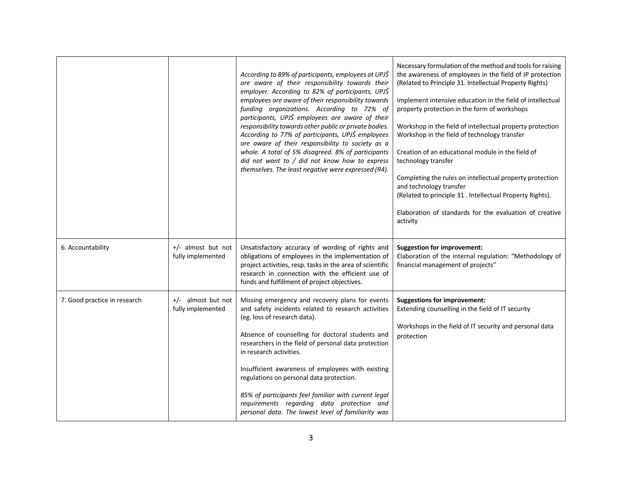|                              |                                         | According to 89% of participants, employees at UPJŠ<br>are aware of their responsibility towards their<br>employer. According to 82% of participants, UPJŠ<br>employees are aware of their responsibility towards<br>funding organizations. According to 72% of<br>participants, UPJŠ employees are aware of their<br>responsibility towards other public or private bodies.<br>According to 77% of participants, UPJŠ employees<br>are aware of their responsibility to society as a<br>whole. A total of 5% disagreed. 8% of participants<br>did not want to / did not know how to express<br>themselves. The least negative were expressed (R4). | Necessary formulation of the method and tools for raising<br>the awareness of employees in the field of IP protection<br>(Related to Principle 31. Intellectual Property Rights)<br>Implement intensive education in the field of intellectual<br>property protection in the form of workshops<br>Workshop in the field of intellectual property protection<br>Workshop in the field of technology transfer<br>Creation of an educational module in the field of<br>technology transfer<br>Completing the rules on intellectual property protection<br>and technology transfer<br>(Related to principle 31 . Intellectual Property Rights).<br>Elaboration of standards for the evaluation of creative<br>activity |
|------------------------------|-----------------------------------------|-----------------------------------------------------------------------------------------------------------------------------------------------------------------------------------------------------------------------------------------------------------------------------------------------------------------------------------------------------------------------------------------------------------------------------------------------------------------------------------------------------------------------------------------------------------------------------------------------------------------------------------------------------|--------------------------------------------------------------------------------------------------------------------------------------------------------------------------------------------------------------------------------------------------------------------------------------------------------------------------------------------------------------------------------------------------------------------------------------------------------------------------------------------------------------------------------------------------------------------------------------------------------------------------------------------------------------------------------------------------------------------|
| 6. Accountability            | +/- almost but not<br>fully implemented | Unsatisfactory accuracy of wording of rights and<br>obligations of employees in the implementation of<br>project activities, resp. tasks in the area of scientific<br>research in connection with the efficient use of<br>funds and fulfillment of project objectives.                                                                                                                                                                                                                                                                                                                                                                              | <b>Suggestion for improvement:</b><br>Elaboration of the internal regulation: "Methodology of<br>financial management of projects"                                                                                                                                                                                                                                                                                                                                                                                                                                                                                                                                                                                 |
| 7. Good practice in research | +/- almost but not<br>fully implemented | Missing emergency and recovery plans for events<br>and safety incidents related to research activities<br>(eg. loss of research data).<br>Absence of counselling for doctoral students and<br>researchers in the field of personal data protection<br>in research activities.<br>Insufficient awareness of employees with existing<br>regulations on personal data protection.<br>85% of participants feel familiar with current legal<br>requirements regarding data protection and<br>personal data. The lowest level of familiarity was                                                                                                          | <b>Suggestions for improvement:</b><br>Extending counselling in the field of IT security<br>Workshops in the field of IT security and personal data<br>protection                                                                                                                                                                                                                                                                                                                                                                                                                                                                                                                                                  |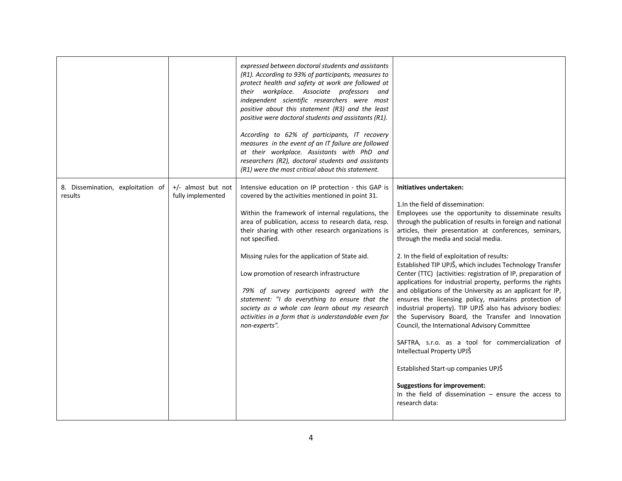|                                              |                                         | expressed between doctoral students and assistants<br>(R1). According to 93% of participants, measures to<br>protect health and safety at work are followed at<br>their workplace. Associate professors and<br>independent scientific researchers were most<br>positive about this statement (R3) and the least<br>positive were doctoral students and assistants (R1).<br>According to 62% of participants, IT recovery<br>measures in the event of an IT failure are followed<br>at their workplace. Assistants with PhD and<br>researchers (R2), doctoral students and assistants<br>(R1) were the most critical about this statement. |                                                                                                                                                                                                                                                                                                                                                                                                                                                                                                                                                                                                                                                                                                                                                                                                                                                                                                                                                                                                                                                                   |
|----------------------------------------------|-----------------------------------------|-------------------------------------------------------------------------------------------------------------------------------------------------------------------------------------------------------------------------------------------------------------------------------------------------------------------------------------------------------------------------------------------------------------------------------------------------------------------------------------------------------------------------------------------------------------------------------------------------------------------------------------------|-------------------------------------------------------------------------------------------------------------------------------------------------------------------------------------------------------------------------------------------------------------------------------------------------------------------------------------------------------------------------------------------------------------------------------------------------------------------------------------------------------------------------------------------------------------------------------------------------------------------------------------------------------------------------------------------------------------------------------------------------------------------------------------------------------------------------------------------------------------------------------------------------------------------------------------------------------------------------------------------------------------------------------------------------------------------|
| 8. Dissemination, exploitation of<br>results | +/- almost but not<br>fully implemented | Intensive education on IP protection - this GAP is<br>covered by the activities mentioned in point 31.<br>Within the framework of internal regulations, the<br>area of publication, access to research data, resp.<br>their sharing with other research organizations is<br>not specified.<br>Missing rules for the application of State aid.<br>Low promotion of research infrastructure<br>79% of survey participants agreed with the<br>statement: "I do everything to ensure that the<br>society as a whole can learn about my research<br>activities in a form that is understandable even for<br>non-experts".                      | Initiatives undertaken:<br>1. In the field of dissemination:<br>Employees use the opportunity to disseminate results<br>through the publication of results in foreign and national<br>articles, their presentation at conferences, seminars,<br>through the media and social media.<br>2. In the field of exploitation of results:<br>Established TIP UPJŠ, which includes Technology Transfer<br>Center (TTC) (activities: registration of IP, preparation of<br>applications for industrial property, performs the rights<br>and obligations of the University as an applicant for IP,<br>ensures the licensing policy, maintains protection of<br>industrial property). TIP UPJŠ also has advisory bodies:<br>the Supervisory Board, the Transfer and Innovation<br>Council, the International Advisory Committee<br>SAFTRA, s.r.o. as a tool for commercialization of<br>Intellectual Property UPJŠ<br>Established Start-up companies UPJŠ<br><b>Suggestions for improvement:</b><br>In the field of dissemination $-$ ensure the access to<br>research data: |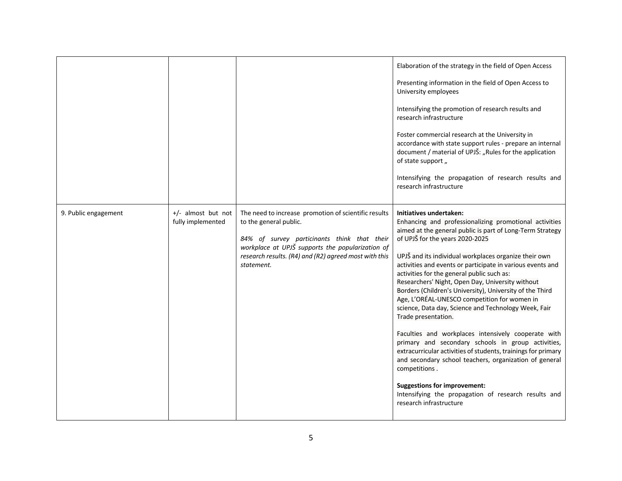|                      |                                           |                                                                                                                                                                                                                                                          | Elaboration of the strategy in the field of Open Access<br>Presenting information in the field of Open Access to<br>University employees<br>Intensifying the promotion of research results and<br>research infrastructure<br>Foster commercial research at the University in<br>accordance with state support rules - prepare an internal<br>document / material of UPJŠ: "Rules for the application<br>of state support,<br>Intensifying the propagation of research results and<br>research infrastructure                                                                                                                                                                                                                                                                                                                                                                                                                                                                             |
|----------------------|-------------------------------------------|----------------------------------------------------------------------------------------------------------------------------------------------------------------------------------------------------------------------------------------------------------|------------------------------------------------------------------------------------------------------------------------------------------------------------------------------------------------------------------------------------------------------------------------------------------------------------------------------------------------------------------------------------------------------------------------------------------------------------------------------------------------------------------------------------------------------------------------------------------------------------------------------------------------------------------------------------------------------------------------------------------------------------------------------------------------------------------------------------------------------------------------------------------------------------------------------------------------------------------------------------------|
| 9. Public engagement | $+/-$ almost but not<br>fully implemented | The need to increase promotion of scientific results<br>to the general public.<br>84% of survey particinants think that their<br>workplace at UPJŠ supports the popularization of<br>research results. (R4) and (R2) agreed most with this<br>statement. | Initiatives undertaken:<br>Enhancing and professionalizing promotional activities<br>aimed at the general public is part of Long-Term Strategy<br>of UPJŠ for the years 2020-2025<br>UPJŠ and its individual workplaces organize their own<br>activities and events or participate in various events and<br>activities for the general public such as:<br>Researchers' Night, Open Day, University without<br>Borders (Children's University), University of the Third<br>Age, L'ORÉAL-UNESCO competition for women in<br>science, Data day, Science and Technology Week, Fair<br>Trade presentation.<br>Faculties and workplaces intensively cooperate with<br>primary and secondary schools in group activities,<br>extracurricular activities of students, trainings for primary<br>and secondary school teachers, organization of general<br>competitions.<br><b>Suggestions for improvement:</b><br>Intensifying the propagation of research results and<br>research infrastructure |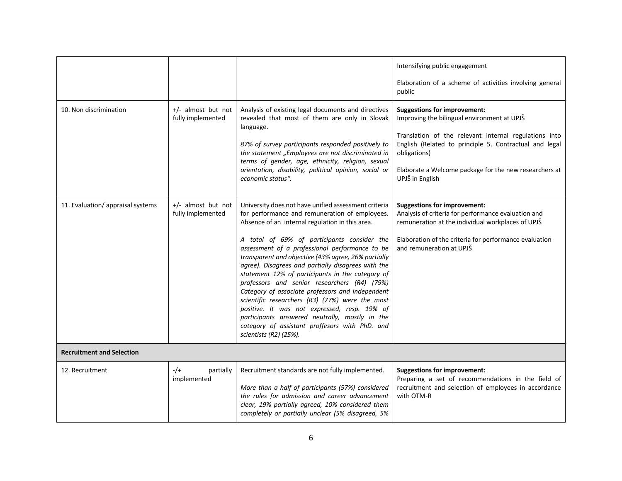|                                   |                                           |                                                                                                                                                                                                                                                                                                                                                                                                                                                                                                                                                                                                                                                                                                                                                                    | Intensifying public engagement<br>Elaboration of a scheme of activities involving general                                                                                                                                                                                                          |  |
|-----------------------------------|-------------------------------------------|--------------------------------------------------------------------------------------------------------------------------------------------------------------------------------------------------------------------------------------------------------------------------------------------------------------------------------------------------------------------------------------------------------------------------------------------------------------------------------------------------------------------------------------------------------------------------------------------------------------------------------------------------------------------------------------------------------------------------------------------------------------------|----------------------------------------------------------------------------------------------------------------------------------------------------------------------------------------------------------------------------------------------------------------------------------------------------|--|
|                                   |                                           |                                                                                                                                                                                                                                                                                                                                                                                                                                                                                                                                                                                                                                                                                                                                                                    | public                                                                                                                                                                                                                                                                                             |  |
| 10. Non discrimination            | $+/-$ almost but not<br>fully implemented | Analysis of existing legal documents and directives<br>revealed that most of them are only in Slovak<br>language.<br>87% of survey participants responded positively to<br>the statement "Employees are not discriminated in<br>terms of gender, age, ethnicity, religion, sexual<br>orientation, disability, political opinion, social or<br>economic status".                                                                                                                                                                                                                                                                                                                                                                                                    | <b>Suggestions for improvement:</b><br>Improving the bilingual environment at UPJŠ<br>Translation of the relevant internal regulations into<br>English (Related to principle 5. Contractual and legal<br>obligations)<br>Elaborate a Welcome package for the new researchers at<br>UPJŠ in English |  |
| 11. Evaluation/ appraisal systems | +/- almost but not<br>fully implemented   | University does not have unified assessment criteria<br>for performance and remuneration of employees.<br>Absence of an internal regulation in this area.<br>A total of 69% of participants consider the<br>assessment of a professional performance to be<br>transparent and objective (43% agree, 26% partially<br>agree). Disagrees and partially disagrees with the<br>statement 12% of participants in the category of<br>professors and senior researchers (R4) (79%)<br>Category of associate professors and independent<br>scientific researchers (R3) (77%) were the most<br>positive. It was not expressed, resp. 19% of<br>participants answered neutrally, mostly in the<br>category of assistant proffesors with PhD. and<br>scientists $(R2)$ (25%). | <b>Suggestions for improvement:</b><br>Analysis of criteria for performance evaluation and<br>remuneration at the individual workplaces of UPJŠ<br>Elaboration of the criteria for performance evaluation<br>and remuneration at UPJŠ                                                              |  |
| <b>Recruitment and Selection</b>  |                                           |                                                                                                                                                                                                                                                                                                                                                                                                                                                                                                                                                                                                                                                                                                                                                                    |                                                                                                                                                                                                                                                                                                    |  |
| 12. Recruitment                   | $-/+$<br>partially<br>implemented         | Recruitment standards are not fully implemented.<br>More than a half of participants (57%) considered<br>the rules for admission and career advancement<br>clear, 19% partially agreed, 10% considered them<br>completely or partially unclear (5% disagreed, 5%                                                                                                                                                                                                                                                                                                                                                                                                                                                                                                   | <b>Suggestions for improvement:</b><br>Preparing a set of recommendations in the field of<br>recruitment and selection of employees in accordance<br>with OTM-R                                                                                                                                    |  |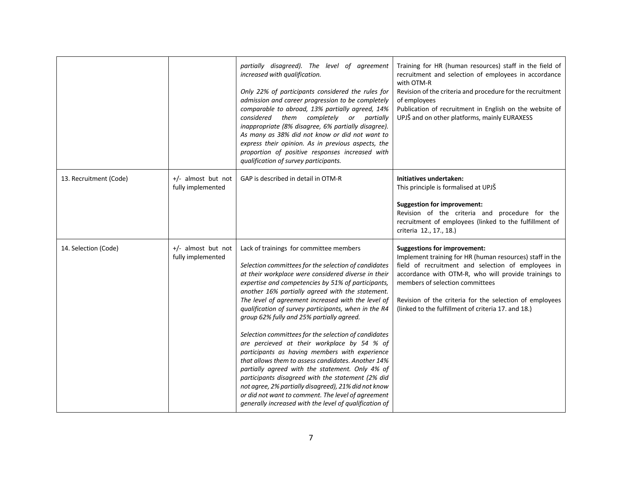|                        |                                           | partially disagreed). The level of agreement<br>increased with qualification.<br>Only 22% of participants considered the rules for<br>admission and career progression to be completely<br>comparable to abroad, 13% partially agreed, 14%<br>considered them completely or partially<br>inappropriate (8% disagree, 6% partially disagree).<br>As many as 38% did not know or did not want to<br>express their opinion. As in previous aspects, the<br>proportion of positive responses increased with<br>qualification of survey participants.                                                                                                                                                                                                                                                                                                                                                                           | Training for HR (human resources) staff in the field of<br>recruitment and selection of employees in accordance<br>with OTM-R<br>Revision of the criteria and procedure for the recruitment<br>of employees<br>Publication of recruitment in English on the website of<br>UPJŠ and on other platforms, mainly EURAXESS                                             |
|------------------------|-------------------------------------------|----------------------------------------------------------------------------------------------------------------------------------------------------------------------------------------------------------------------------------------------------------------------------------------------------------------------------------------------------------------------------------------------------------------------------------------------------------------------------------------------------------------------------------------------------------------------------------------------------------------------------------------------------------------------------------------------------------------------------------------------------------------------------------------------------------------------------------------------------------------------------------------------------------------------------|--------------------------------------------------------------------------------------------------------------------------------------------------------------------------------------------------------------------------------------------------------------------------------------------------------------------------------------------------------------------|
| 13. Recruitment (Code) | $+/-$ almost but not<br>fully implemented | GAP is described in detail in OTM-R                                                                                                                                                                                                                                                                                                                                                                                                                                                                                                                                                                                                                                                                                                                                                                                                                                                                                        | Initiatives undertaken:<br>This principle is formalised at UPJŠ<br><b>Suggestion for improvement:</b><br>Revision of the criteria and procedure for the<br>recruitment of employees (linked to the fulfillment of<br>criteria 12., 17., 18.)                                                                                                                       |
| 14. Selection (Code)   | +/- almost but not<br>fully implemented   | Lack of trainings for committee members<br>Selection committees for the selection of candidates<br>at their workplace were considered diverse in their<br>expertise and competencies by 51% of participants,<br>another 16% partially agreed with the statement.<br>The level of agreement increased with the level of<br>qualification of survey participants, when in the R4<br>group 62% fully and 25% partially agreed.<br>Selection committees for the selection of candidates<br>are percieved at their workplace by 54 % of<br>participants as having members with experience<br>that allows them to assess candidates. Another 14%<br>partially agreed with the statement. Only 4% of<br>participants disagreed with the statement (2% did<br>not agree, 2% partially disagreed), 21% did not know<br>or did not want to comment. The level of agreement<br>generally increased with the level of qualification of | <b>Suggestions for improvement:</b><br>Implement training for HR (human resources) staff in the<br>field of recruitment and selection of employees in<br>accordance with OTM-R, who will provide trainings to<br>members of selection committees<br>Revision of the criteria for the selection of employees<br>(linked to the fulfillment of criteria 17. and 18.) |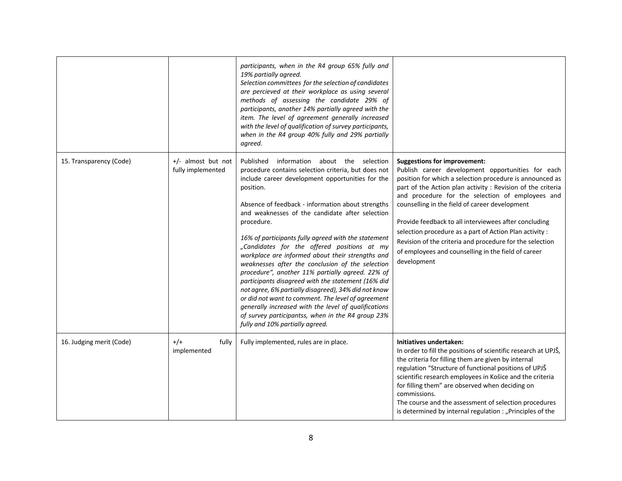|                          |                                         | participants, when in the R4 group 65% fully and<br>19% partially agreed.<br>Selection committees for the selection of candidates<br>are percieved at their workplace as using several<br>methods of assessing the candidate 29% of<br>participants, another 14% partially agreed with the<br>item. The level of agreement generally increased<br>with the level of qualification of survey participants,<br>when in the R4 group 40% fully and 29% partially<br>agreed.                                                                                                                                                                                                                                                                                                                                                                                                         |                                                                                                                                                                                                                                                                                                                                                                                                                                                                                                                                                                                 |
|--------------------------|-----------------------------------------|----------------------------------------------------------------------------------------------------------------------------------------------------------------------------------------------------------------------------------------------------------------------------------------------------------------------------------------------------------------------------------------------------------------------------------------------------------------------------------------------------------------------------------------------------------------------------------------------------------------------------------------------------------------------------------------------------------------------------------------------------------------------------------------------------------------------------------------------------------------------------------|---------------------------------------------------------------------------------------------------------------------------------------------------------------------------------------------------------------------------------------------------------------------------------------------------------------------------------------------------------------------------------------------------------------------------------------------------------------------------------------------------------------------------------------------------------------------------------|
| 15. Transparency (Code)  | +/- almost but not<br>fully implemented | information about the selection<br>Published<br>procedure contains selection criteria, but does not<br>include career development opportunities for the<br>position.<br>Absence of feedback - information about strengths<br>and weaknesses of the candidate after selection<br>procedure.<br>16% of participants fully agreed with the statement<br>"Candidates for the offered positions at my<br>workplace are informed about their strengths and<br>weaknesses after the conclusion of the selection<br>procedure", another 11% partially agreed. 22% of<br>participants disagreed with the statement (16% did<br>not agree, 6% partially disagreed), 34% did not know<br>or did not want to comment. The level of agreement<br>generally increased with the level of qualifications<br>of survey participantss, when in the R4 group 23%<br>fully and 10% partially agreed. | <b>Suggestions for improvement:</b><br>Publish career development opportunities for each<br>position for which a selection procedure is announced as<br>part of the Action plan activity : Revision of the criteria<br>and procedure for the selection of employees and<br>counselling in the field of career development<br>Provide feedback to all interviewees after concluding<br>selection procedure as a part of Action Plan activity :<br>Revision of the criteria and procedure for the selection<br>of employees and counselling in the field of career<br>development |
| 16. Judging merit (Code) | $+/-$<br>fully<br>implemented           | Fully implemented, rules are in place.                                                                                                                                                                                                                                                                                                                                                                                                                                                                                                                                                                                                                                                                                                                                                                                                                                           | Initiatives undertaken:<br>In order to fill the positions of scientific research at UPJŠ,<br>the criteria for filling them are given by internal<br>regulation "Structure of functional positions of UPJŠ<br>scientific research employees in Košice and the criteria<br>for filling them" are observed when deciding on<br>commissions.<br>The course and the assessment of selection procedures<br>is determined by internal regulation : "Principles of the                                                                                                                  |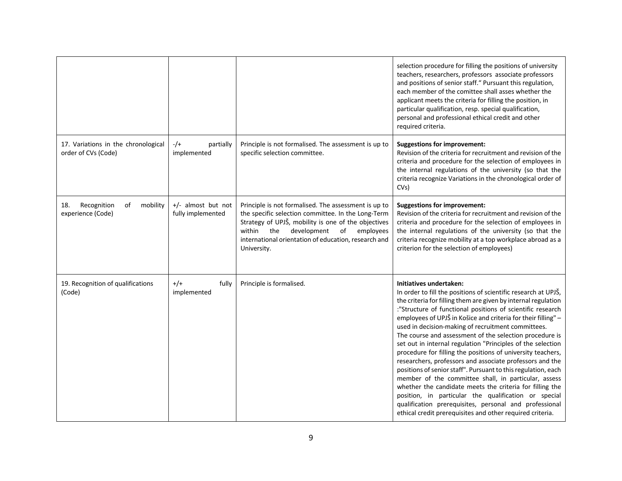|                                                            |                                         |                                                                                                                                                                                                                                                                                             | selection procedure for filling the positions of university<br>teachers, researchers, professors associate professors<br>and positions of senior staff." Pursuant this regulation,<br>each member of the comittee shall asses whether the<br>applicant meets the criteria for filling the position, in<br>particular qualification, resp. special qualification,<br>personal and professional ethical credit and other<br>required criteria.                                                                                                                                                                                                                                                                                                                                                                                                                                                                                                                              |
|------------------------------------------------------------|-----------------------------------------|---------------------------------------------------------------------------------------------------------------------------------------------------------------------------------------------------------------------------------------------------------------------------------------------|---------------------------------------------------------------------------------------------------------------------------------------------------------------------------------------------------------------------------------------------------------------------------------------------------------------------------------------------------------------------------------------------------------------------------------------------------------------------------------------------------------------------------------------------------------------------------------------------------------------------------------------------------------------------------------------------------------------------------------------------------------------------------------------------------------------------------------------------------------------------------------------------------------------------------------------------------------------------------|
| 17. Variations in the chronological<br>order of CVs (Code) | $-/-$<br>partially<br>implemented       | Principle is not formalised. The assessment is up to<br>specific selection committee.                                                                                                                                                                                                       | <b>Suggestions for improvement:</b><br>Revision of the criteria for recruitment and revision of the<br>criteria and procedure for the selection of employees in<br>the internal regulations of the university (so that the<br>criteria recognize Variations in the chronological order of<br>CVs)                                                                                                                                                                                                                                                                                                                                                                                                                                                                                                                                                                                                                                                                         |
| Recognition<br>mobility<br>18.<br>of<br>experience (Code)  | +/- almost but not<br>fully implemented | Principle is not formalised. The assessment is up to<br>the specific selection committee. In the Long-Term<br>Strategy of UPJŠ, mobility is one of the objectives<br>within<br>the<br>development<br>of<br>employees<br>international orientation of education, research and<br>University. | <b>Suggestions for improvement:</b><br>Revision of the criteria for recruitment and revision of the<br>criteria and procedure for the selection of employees in<br>the internal regulations of the university (so that the<br>criteria recognize mobility at a top workplace abroad as a<br>criterion for the selection of employees)                                                                                                                                                                                                                                                                                                                                                                                                                                                                                                                                                                                                                                     |
| 19. Recognition of qualifications<br>(Code)                | $+/+$<br>fully<br>implemented           | Principle is formalised.                                                                                                                                                                                                                                                                    | Initiatives undertaken:<br>In order to fill the positions of scientific research at UPJŠ,<br>the criteria for filling them are given by internal regulation<br>:"Structure of functional positions of scientific research<br>employees of UPJŠ in Košice and criteria for their filling" -<br>used in decision-making of recruitment committees.<br>The course and assessment of the selection procedure is<br>set out in internal regulation "Principles of the selection<br>procedure for filling the positions of university teachers,<br>researchers, professors and associate professors and the<br>positions of senior staff". Pursuant to this regulation, each<br>member of the committee shall, in particular, assess<br>whether the candidate meets the criteria for filling the<br>position, in particular the qualification or special<br>qualification prerequisites, personal and professional<br>ethical credit prerequisites and other required criteria. |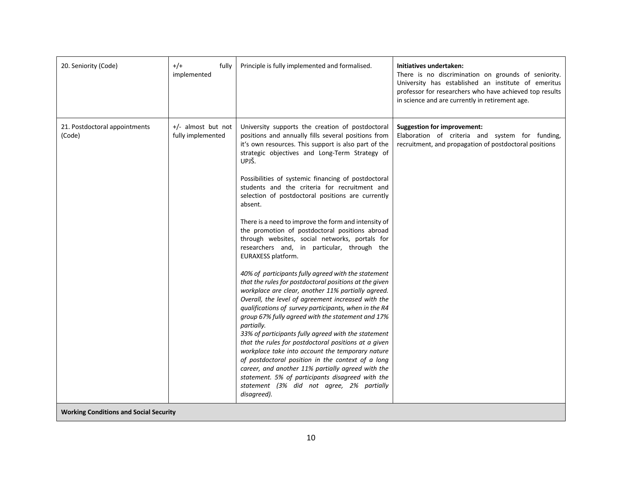| 20. Seniority (Code)                          | $+/-$<br>fully<br>implemented           | Principle is fully implemented and formalised.                                                                                                                                                                                                                                                                                                                                                                                                                                                                                                                                                                                                                                                                                                                                                                                                                                                                                                                                                                                                                                                                                                                                                                                                                                                                                                                                            | Initiatives undertaken:<br>There is no discrimination on grounds of seniority.<br>University has established an institute of emeritus<br>professor for researchers who have achieved top results<br>in science and are currently in retirement age. |
|-----------------------------------------------|-----------------------------------------|-------------------------------------------------------------------------------------------------------------------------------------------------------------------------------------------------------------------------------------------------------------------------------------------------------------------------------------------------------------------------------------------------------------------------------------------------------------------------------------------------------------------------------------------------------------------------------------------------------------------------------------------------------------------------------------------------------------------------------------------------------------------------------------------------------------------------------------------------------------------------------------------------------------------------------------------------------------------------------------------------------------------------------------------------------------------------------------------------------------------------------------------------------------------------------------------------------------------------------------------------------------------------------------------------------------------------------------------------------------------------------------------|-----------------------------------------------------------------------------------------------------------------------------------------------------------------------------------------------------------------------------------------------------|
| 21. Postdoctoral appointments<br>(Code)       | +/- almost but not<br>fully implemented | University supports the creation of postdoctoral<br>positions and annually fills several positions from<br>it's own resources. This support is also part of the<br>strategic objectives and Long-Term Strategy of<br>UPJŠ.<br>Possibilities of systemic financing of postdoctoral<br>students and the criteria for recruitment and<br>selection of postdoctoral positions are currently<br>absent.<br>There is a need to improve the form and intensity of<br>the promotion of postdoctoral positions abroad<br>through websites, social networks, portals for<br>researchers and, in particular, through the<br>EURAXESS platform.<br>40% of participants fully agreed with the statement<br>that the rules for postdoctoral positions at the given<br>workplace are clear, another 11% partially agreed.<br>Overall, the level of agreement increased with the<br>qualifications of survey participants, when in the R4<br>group 67% fully agreed with the statement and 17%<br>partially.<br>33% of participants fully agreed with the statement<br>that the rules for postdoctoral positions at a given<br>workplace take into account the temporary nature<br>of postdoctoral position in the context of a long<br>career, and another 11% partially agreed with the<br>statement. 5% of participants disagreed with the<br>statement (3% did not agree, 2% partially<br>disagreed). | <b>Suggestion for improvement:</b><br>Elaboration of criteria and system for funding,<br>recruitment, and propagation of postdoctoral positions                                                                                                     |
| <b>Working Conditions and Social Security</b> |                                         |                                                                                                                                                                                                                                                                                                                                                                                                                                                                                                                                                                                                                                                                                                                                                                                                                                                                                                                                                                                                                                                                                                                                                                                                                                                                                                                                                                                           |                                                                                                                                                                                                                                                     |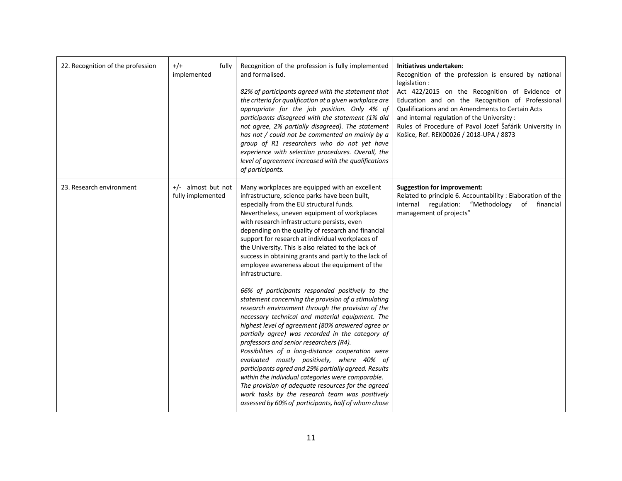| 22. Recognition of the profession | $+/-$<br>fully<br>implemented             | Recognition of the profession is fully implemented<br>and formalised.<br>82% of participants agreed with the statement that<br>the criteria for qualification at a given workplace are<br>appropriate for the job position. Only 4% of<br>participants disagreed with the statement (1% did<br>not agree, 2% partially disagreed). The statement<br>has not / could not be commented on mainly by a<br>group of R1 researchers who do not yet have<br>experience with selection procedures. Overall, the<br>level of agreement increased with the qualifications<br>of participants.                                                                                                                                                             | Initiatives undertaken:<br>Recognition of the profession is ensured by national<br>legislation:<br>Act 422/2015 on the Recognition of Evidence of<br>Education and on the Recognition of Professional<br>Qualifications and on Amendments to Certain Acts<br>and internal regulation of the University:<br>Rules of Procedure of Pavol Jozef Šafárik University in<br>Košice, Ref. REK00026 / 2018-UPA / 8873 |
|-----------------------------------|-------------------------------------------|--------------------------------------------------------------------------------------------------------------------------------------------------------------------------------------------------------------------------------------------------------------------------------------------------------------------------------------------------------------------------------------------------------------------------------------------------------------------------------------------------------------------------------------------------------------------------------------------------------------------------------------------------------------------------------------------------------------------------------------------------|---------------------------------------------------------------------------------------------------------------------------------------------------------------------------------------------------------------------------------------------------------------------------------------------------------------------------------------------------------------------------------------------------------------|
| 23. Research environment          | $+/-$ almost but not<br>fully implemented | Many workplaces are equipped with an excellent<br>infrastructure, science parks have been built,<br>especially from the EU structural funds.<br>Nevertheless, uneven equipment of workplaces<br>with research infrastructure persists, even<br>depending on the quality of research and financial<br>support for research at individual workplaces of<br>the University. This is also related to the lack of<br>success in obtaining grants and partly to the lack of<br>employee awareness about the equipment of the<br>infrastructure.                                                                                                                                                                                                        | <b>Suggestion for improvement:</b><br>Related to principle 6. Accountability : Elaboration of the<br>"Methodology<br>regulation:<br>financial<br>internal<br>of<br>management of projects"                                                                                                                                                                                                                    |
|                                   |                                           | 66% of participants responded positively to the<br>statement concerning the provision of a stimulating<br>research environment through the provision of the<br>necessary technical and material equipment. The<br>highest level of agreement (80% answered agree or<br>partially agree) was recorded in the category of<br>professors and senior researchers (R4).<br>Possibilities of a long-distance cooperation were<br>evaluated mostly positively, where 40% of<br>participants agred and 29% partially agreed. Results<br>within the individual categories were comparable.<br>The provision of adequate resources for the agreed<br>work tasks by the research team was positively<br>assessed by 60% of participants, half of whom chose |                                                                                                                                                                                                                                                                                                                                                                                                               |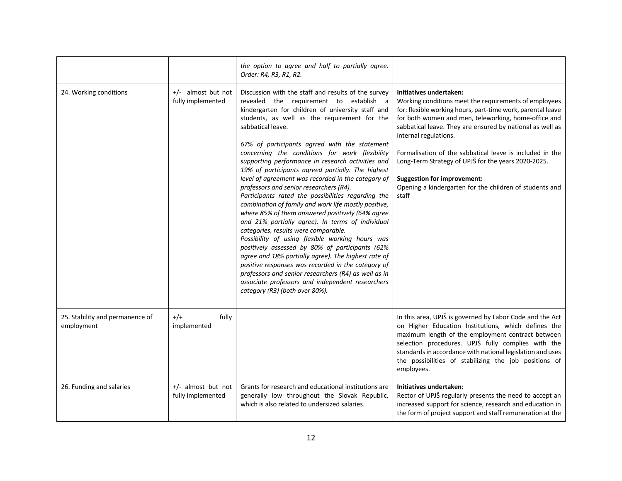|                                               |                                         | the option to agree and half to partially agree.<br>Order: R4, R3, R1, R2.                                                                                                                                                                                                                                                                                                                                                                                                                                                                                                                                                                                                                                                                                                                                                                                                                                                                                                                                                                                                                                                                                            |                                                                                                                                                                                                                                                                                                                                                                                                                                                                                                                            |
|-----------------------------------------------|-----------------------------------------|-----------------------------------------------------------------------------------------------------------------------------------------------------------------------------------------------------------------------------------------------------------------------------------------------------------------------------------------------------------------------------------------------------------------------------------------------------------------------------------------------------------------------------------------------------------------------------------------------------------------------------------------------------------------------------------------------------------------------------------------------------------------------------------------------------------------------------------------------------------------------------------------------------------------------------------------------------------------------------------------------------------------------------------------------------------------------------------------------------------------------------------------------------------------------|----------------------------------------------------------------------------------------------------------------------------------------------------------------------------------------------------------------------------------------------------------------------------------------------------------------------------------------------------------------------------------------------------------------------------------------------------------------------------------------------------------------------------|
| 24. Working conditions                        | +/- almost but not<br>fully implemented | Discussion with the staff and results of the survey<br>revealed the requirement to establish a<br>kindergarten for children of university staff and<br>students, as well as the requirement for the<br>sabbatical leave.<br>67% of participants agrred with the statement<br>concerning the conditions for work flexibility<br>supporting performance in research activities and<br>19% of participants agreed partially. The highest<br>level of agreement was recorded in the category of<br>professors and senior researchers (R4).<br>Participants rated the possibilities regarding the<br>combination of family and work life mostly positive,<br>where 85% of them answered positively (64% agree<br>and 21% partially agree). In terms of individual<br>categories, results were comparable.<br>Possibility of using flexible working hours was<br>positively assessed by 80% of participants (62%<br>agree and 18% partially agree). The highest rate of<br>positive responses was recorded in the category of<br>professors and senior researchers (R4) as well as in<br>associate professors and independent researchers<br>category (R3) (both over 80%). | Initiatives undertaken:<br>Working conditions meet the requirements of employees<br>for: flexible working hours, part-time work, parental leave<br>for both women and men, teleworking, home-office and<br>sabbatical leave. They are ensured by national as well as<br>internal regulations.<br>Formalisation of the sabbatical leave is included in the<br>Long-Term Strategy of UPJŠ for the years 2020-2025.<br><b>Suggestion for improvement:</b><br>Opening a kindergarten for the children of students and<br>staff |
| 25. Stability and permanence of<br>employment | $+/-$<br>fully<br>implemented           |                                                                                                                                                                                                                                                                                                                                                                                                                                                                                                                                                                                                                                                                                                                                                                                                                                                                                                                                                                                                                                                                                                                                                                       | In this area, UPJŠ is governed by Labor Code and the Act<br>on Higher Education Institutions, which defines the<br>maximum length of the employment contract between<br>selection procedures. UPJŠ fully complies with the<br>standards in accordance with national legislation and uses<br>the possibilities of stabilizing the job positions of<br>employees.                                                                                                                                                            |
| 26. Funding and salaries                      | +/- almost but not<br>fully implemented | Grants for research and educational institutions are<br>generally low throughout the Slovak Republic,<br>which is also related to undersized salaries.                                                                                                                                                                                                                                                                                                                                                                                                                                                                                                                                                                                                                                                                                                                                                                                                                                                                                                                                                                                                                | Initiatives undertaken:<br>Rector of UPJŠ regularly presents the need to accept an<br>increased support for science, research and education in<br>the form of project support and staff remuneration at the                                                                                                                                                                                                                                                                                                                |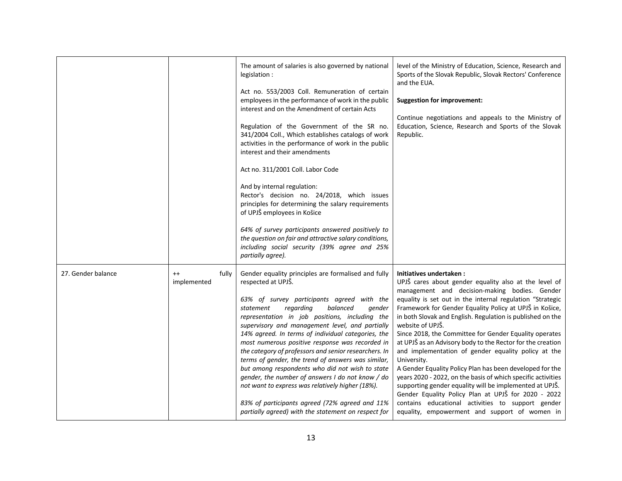|                    |                                 | The amount of salaries is also governed by national<br>legislation :<br>Act no. 553/2003 Coll. Remuneration of certain<br>employees in the performance of work in the public<br>interest and on the Amendment of certain Acts<br>Regulation of the Government of the SR no.<br>341/2004 Coll., Which establishes catalogs of work<br>activities in the performance of work in the public<br>interest and their amendments<br>Act no. 311/2001 Coll. Labor Code<br>And by internal regulation:<br>Rector's decision no. 24/2018, which issues<br>principles for determining the salary requirements<br>of UPJŠ employees in Košice<br>64% of survey participants answered positively to<br>the question on fair and attractive salary conditions,<br>including social security (39% agree and 25%<br>partially agree). | level of the Ministry of Education, Science, Research and<br>Sports of the Slovak Republic, Slovak Rectors' Conference<br>and the EUA.<br><b>Suggestion for improvement:</b><br>Continue negotiations and appeals to the Ministry of<br>Education, Science, Research and Sports of the Slovak<br>Republic.                                                                                                                                                                                                                                                                                                                                                                                                                                                                                                                                                                                    |
|--------------------|---------------------------------|-----------------------------------------------------------------------------------------------------------------------------------------------------------------------------------------------------------------------------------------------------------------------------------------------------------------------------------------------------------------------------------------------------------------------------------------------------------------------------------------------------------------------------------------------------------------------------------------------------------------------------------------------------------------------------------------------------------------------------------------------------------------------------------------------------------------------|-----------------------------------------------------------------------------------------------------------------------------------------------------------------------------------------------------------------------------------------------------------------------------------------------------------------------------------------------------------------------------------------------------------------------------------------------------------------------------------------------------------------------------------------------------------------------------------------------------------------------------------------------------------------------------------------------------------------------------------------------------------------------------------------------------------------------------------------------------------------------------------------------|
| 27. Gender balance | $^{++}$<br>fully<br>implemented | Gender equality principles are formalised and fully<br>respected at UPJŠ.<br>63% of survey participants agreed with the<br>regarding<br>balanced<br>statement<br>gender<br>representation in job positions, including the<br>supervisory and management level, and partially<br>14% agreed. In terms of individual categories, the<br>most numerous positive response was recorded in<br>the category of professors and senior researchers. In<br>terms of gender, the trend of answers was similar,<br>but among respondents who did not wish to state<br>gender, the number of answers I do not know / do<br>not want to express was relatively higher (18%).<br>83% of participants agreed (72% agreed and 11%<br>partially agreed) with the statement on respect for                                              | Initiatives undertaken:<br>UPJŠ cares about gender equality also at the level of<br>management and decision-making bodies. Gender<br>equality is set out in the internal regulation "Strategic<br>Framework for Gender Equality Policy at UPJŠ in Košice,<br>in both Slovak and English. Regulation is published on the<br>website of UPJŠ.<br>Since 2018, the Committee for Gender Equality operates<br>at UPJŠ as an Advisory body to the Rector for the creation<br>and implementation of gender equality policy at the<br>University.<br>A Gender Equality Policy Plan has been developed for the<br>years 2020 - 2022, on the basis of which specific activities<br>supporting gender equality will be implemented at UPJŠ.<br>Gender Equality Policy Plan at UPJŠ for 2020 - 2022<br>contains educational activities to support gender<br>equality, empowerment and support of women in |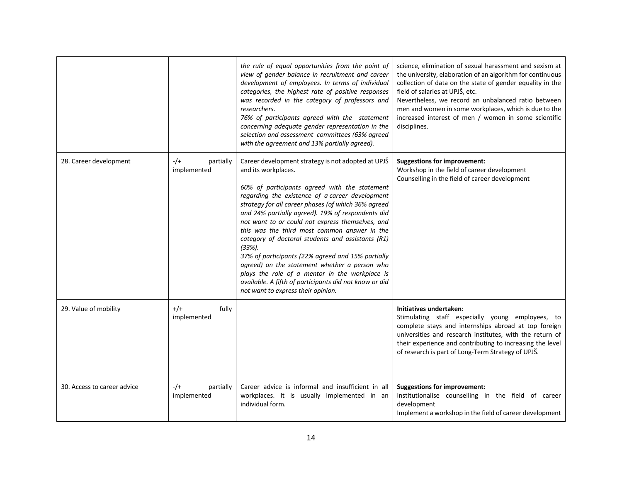|                             |                                    | the rule of equal opportunities from the point of<br>view of gender balance in recruitment and career<br>development of employees. In terms of individual<br>categories, the highest rate of positive responses<br>was recorded in the category of professors and<br>researchers.<br>76% of participants agreed with the statement<br>concerning adequate gender representation in the<br>selection and assessment committees (63% agreed<br>with the agreement and 13% partially agreed).                                                                                                                                                                                                                              | science, elimination of sexual harassment and sexism at<br>the university, elaboration of an algorithm for continuous<br>collection of data on the state of gender equality in the<br>field of salaries at UPJŠ, etc.<br>Nevertheless, we record an unbalanced ratio between<br>men and women in some workplaces, which is due to the<br>increased interest of men / women in some scientific<br>disciplines. |
|-----------------------------|------------------------------------|-------------------------------------------------------------------------------------------------------------------------------------------------------------------------------------------------------------------------------------------------------------------------------------------------------------------------------------------------------------------------------------------------------------------------------------------------------------------------------------------------------------------------------------------------------------------------------------------------------------------------------------------------------------------------------------------------------------------------|---------------------------------------------------------------------------------------------------------------------------------------------------------------------------------------------------------------------------------------------------------------------------------------------------------------------------------------------------------------------------------------------------------------|
| 28. Career development      | $-$ /+<br>partially<br>implemented | Career development strategy is not adopted at UPJS<br>and its workplaces.<br>60% of participants agreed with the statement<br>regarding the existence of a career development<br>strategy for all career phases (of which 36% agreed<br>and 24% partially agreed). 19% of respondents did<br>not want to or could not express themselves, and<br>this was the third most common answer in the<br>category of doctoral students and assistants (R1)<br>$(33%)$ .<br>37% of participants (22% agreed and 15% partially<br>agreed) on the statement whether a person who<br>plays the role of a mentor in the workplace is<br>available. A fifth of participants did not know or did<br>not want to express their opinion. | <b>Suggestions for improvement:</b><br>Workshop in the field of career development<br>Counselling in the field of career development                                                                                                                                                                                                                                                                          |
| 29. Value of mobility       | $+/+$<br>fully<br>implemented      |                                                                                                                                                                                                                                                                                                                                                                                                                                                                                                                                                                                                                                                                                                                         | Initiatives undertaken:<br>Stimulating staff especially young employees, to<br>complete stays and internships abroad at top foreign<br>universities and research institutes, with the return of<br>their experience and contributing to increasing the level<br>of research is part of Long-Term Strategy of UPJŠ.                                                                                            |
| 30. Access to career advice | $-/-$<br>partially<br>implemented  | Career advice is informal and insufficient in all<br>workplaces. It is usually implemented in an<br>individual form.                                                                                                                                                                                                                                                                                                                                                                                                                                                                                                                                                                                                    | <b>Suggestions for improvement:</b><br>Institutionalise counselling in the field of career<br>development<br>Implement a workshop in the field of career development                                                                                                                                                                                                                                          |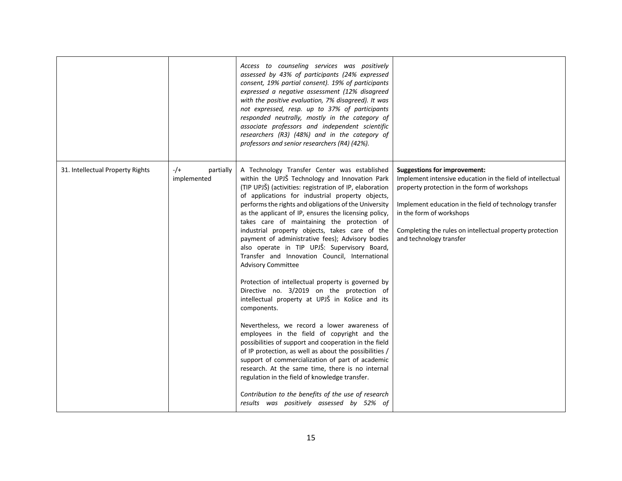|                                  |                                   | Access to counseling services was positively<br>assessed by 43% of participants (24% expressed<br>consent, 19% partial consent). 19% of participants<br>expressed a negative assessment (12% disagreed<br>with the positive evaluation, 7% disagreed). It was<br>not expressed, resp. up to 37% of participants<br>responded neutrally, mostly in the category of<br>associate professors and independent scientific<br>researchers (R3) (48%) and in the category of<br>professors and senior researchers (R4) (42%).                                                                                                                                                                                                                                                                                                                                                                                                                                                                                                                                                                                                                                                                                                                                                   |                                                                                                                                                                                                                                                                                                                                 |
|----------------------------------|-----------------------------------|--------------------------------------------------------------------------------------------------------------------------------------------------------------------------------------------------------------------------------------------------------------------------------------------------------------------------------------------------------------------------------------------------------------------------------------------------------------------------------------------------------------------------------------------------------------------------------------------------------------------------------------------------------------------------------------------------------------------------------------------------------------------------------------------------------------------------------------------------------------------------------------------------------------------------------------------------------------------------------------------------------------------------------------------------------------------------------------------------------------------------------------------------------------------------------------------------------------------------------------------------------------------------|---------------------------------------------------------------------------------------------------------------------------------------------------------------------------------------------------------------------------------------------------------------------------------------------------------------------------------|
| 31. Intellectual Property Rights | $-/-$<br>partially<br>implemented | A Technology Transfer Center was established<br>within the UPJŠ Technology and Innovation Park<br>(TIP UPJŠ) (activities: registration of IP, elaboration<br>of applications for industrial property objects,<br>performs the rights and obligations of the University<br>as the applicant of IP, ensures the licensing policy,<br>takes care of maintaining the protection of<br>industrial property objects, takes care of the<br>payment of administrative fees); Advisory bodies<br>also operate in TIP UPJŠ: Supervisory Board,<br>Transfer and Innovation Council, International<br><b>Advisory Committee</b><br>Protection of intellectual property is governed by<br>Directive no. 3/2019 on the protection of<br>intellectual property at UPJŠ in Košice and its<br>components.<br>Nevertheless, we record a lower awareness of<br>employees in the field of copyright and the<br>possibilities of support and cooperation in the field<br>of IP protection, as well as about the possibilities /<br>support of commercialization of part of academic<br>research. At the same time, there is no internal<br>regulation in the field of knowledge transfer.<br>Contribution to the benefits of the use of research<br>results was positively assessed by 52% of | <b>Suggestions for improvement:</b><br>Implement intensive education in the field of intellectual<br>property protection in the form of workshops<br>Implement education in the field of technology transfer<br>in the form of workshops<br>Completing the rules on intellectual property protection<br>and technology transfer |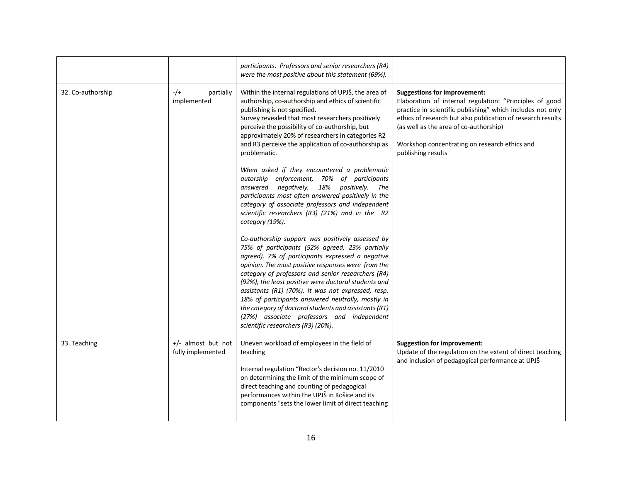|                   |                                         | participants. Professors and senior researchers (R4)<br>were the most positive about this statement (69%).                                                                                                                                                                                                                                                                                                                                                                                                                                                                         |                                                                                                                                                                                                                                                                                                                                              |
|-------------------|-----------------------------------------|------------------------------------------------------------------------------------------------------------------------------------------------------------------------------------------------------------------------------------------------------------------------------------------------------------------------------------------------------------------------------------------------------------------------------------------------------------------------------------------------------------------------------------------------------------------------------------|----------------------------------------------------------------------------------------------------------------------------------------------------------------------------------------------------------------------------------------------------------------------------------------------------------------------------------------------|
| 32. Co-authorship | $-$ /+<br>partially<br>implemented      | Within the internal regulations of UPJŠ, the area of<br>authorship, co-authorship and ethics of scientific<br>publishing is not specified.<br>Survey revealed that most researchers positively<br>perceive the possibility of co-authorship, but<br>approximately 20% of researchers in categories R2<br>and R3 perceive the application of co-authorship as<br>problematic.<br>When asked if they encountered a problematic                                                                                                                                                       | <b>Suggestions for improvement:</b><br>Elaboration of internal regulation: "Principles of good<br>practice in scientific publishing" which includes not only<br>ethics of research but also publication of research results<br>(as well as the area of co-authorship)<br>Workshop concentrating on research ethics and<br>publishing results |
|                   |                                         | autorship enforcement, 70% of participants<br>answered negatively,<br>18% positively.<br>The<br>participants most often answered positively in the<br>category of associate professors and independent<br>scientific researchers (R3) (21%) and in the R2<br>category (19%).                                                                                                                                                                                                                                                                                                       |                                                                                                                                                                                                                                                                                                                                              |
|                   |                                         | Co-authorship support was positively assessed by<br>75% of participants (52% agreed, 23% partially<br>agreed). 7% of participants expressed a negative<br>opinion. The most positive responses were from the<br>category of professors and senior researchers (R4)<br>(92%), the least positive were doctoral students and<br>assistants (R1) (70%). It was not expressed, resp.<br>18% of participants answered neutrally, mostly in<br>the category of doctoral students and assistants (R1)<br>(27%) associate professors and independent<br>scientific researchers (R3) (20%). |                                                                                                                                                                                                                                                                                                                                              |
| 33. Teaching      | +/- almost but not<br>fully implemented | Uneven workload of employees in the field of<br>teaching<br>Internal regulation "Rector's decision no. 11/2010<br>on determining the limit of the minimum scope of<br>direct teaching and counting of pedagogical<br>performances within the UPJŠ in Košice and its<br>components "sets the lower limit of direct teaching                                                                                                                                                                                                                                                         | <b>Suggestion for improvement:</b><br>Update of the regulation on the extent of direct teaching<br>and inclusion of pedagogical performance at UPJŠ                                                                                                                                                                                          |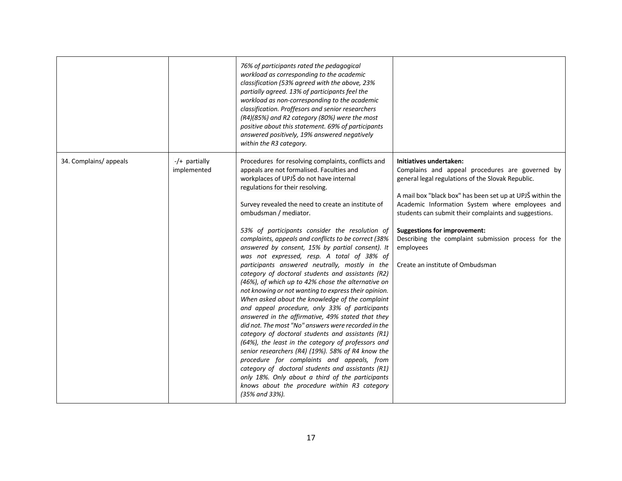|                        |                                | 76% of participants rated the pedagogical<br>workload as corresponding to the academic<br>classification (53% agreed with the above, 23%<br>partially agreed. 13% of participants feel the<br>workload as non-corresponding to the academic<br>classification. Proffesors and senior researchers<br>(R4)(85%) and R2 category (80%) were the most<br>positive about this statement. 69% of participants<br>answered positively, 19% answered negatively<br>within the R3 category.                                                                                                                                                                                                                                                                                                                                                                                                                                                                                                                                                                                                                                                                                                                                                                                                                       |                                                                                                                                                                                                                                                                                                                                                                                                                                                         |
|------------------------|--------------------------------|----------------------------------------------------------------------------------------------------------------------------------------------------------------------------------------------------------------------------------------------------------------------------------------------------------------------------------------------------------------------------------------------------------------------------------------------------------------------------------------------------------------------------------------------------------------------------------------------------------------------------------------------------------------------------------------------------------------------------------------------------------------------------------------------------------------------------------------------------------------------------------------------------------------------------------------------------------------------------------------------------------------------------------------------------------------------------------------------------------------------------------------------------------------------------------------------------------------------------------------------------------------------------------------------------------|---------------------------------------------------------------------------------------------------------------------------------------------------------------------------------------------------------------------------------------------------------------------------------------------------------------------------------------------------------------------------------------------------------------------------------------------------------|
| 34. Complains/ appeals | $-/-$ partially<br>implemented | Procedures for resolving complaints, conflicts and<br>appeals are not formalised. Faculties and<br>workplaces of UPJŠ do not have internal<br>regulations for their resolving.<br>Survey revealed the need to create an institute of<br>ombudsman / mediator.<br>53% of participants consider the resolution of<br>complaints, appeals and conflicts to be correct (38%<br>answered by consent, 15% by partial consent). It<br>was not expressed, resp. A total of 38% of<br>participants answered neutrally, mostly in the<br>category of doctoral students and assistants (R2)<br>(46%), of which up to 42% chose the alternative on<br>not knowing or not wanting to express their opinion.<br>When asked about the knowledge of the complaint<br>and appeal procedure, only 33% of participants<br>answered in the affirmative, 49% stated that they<br>did not. The most "No" answers were recorded in the<br>category of doctoral students and assistants (R1)<br>(64%), the least in the category of professors and<br>senior researchers (R4) (19%). 58% of R4 know the<br>procedure for complaints and appeals, from<br>category of doctoral students and assistants (R1)<br>only 18%. Only about a third of the participants<br>knows about the procedure within R3 category<br>(35% and 33%). | Initiatives undertaken:<br>Complains and appeal procedures are governed by<br>general legal regulations of the Slovak Republic.<br>A mail box "black box" has been set up at UPJŠ within the<br>Academic Information System where employees and<br>students can submit their complaints and suggestions.<br><b>Suggestions for improvement:</b><br>Describing the complaint submission process for the<br>employees<br>Create an institute of Ombudsman |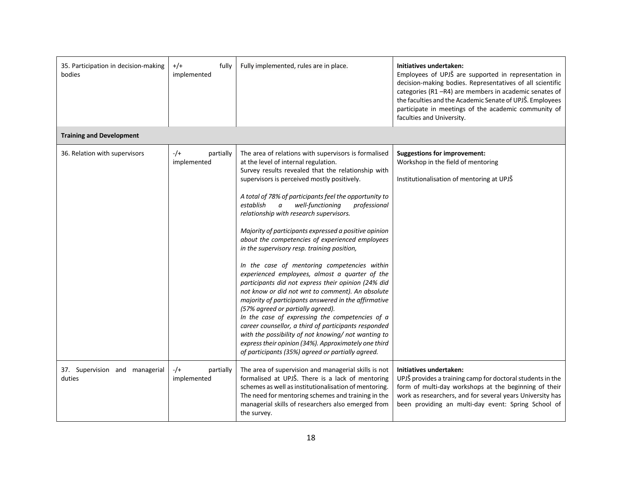| 35. Participation in decision-making<br>bodies | $^{+/+}$<br>fully<br>implemented   | Fully implemented, rules are in place.                                                                                                                                                                                                                                                                                                                                                                                                                                                                                                                                                                                                                                                                                                                                                                                                                                                                                                                                                                                                                                                                                 | Initiatives undertaken:<br>Employees of UPJŠ are supported in representation in<br>decision-making bodies. Representatives of all scientific<br>categories (R1-R4) are members in academic senates of<br>the faculties and the Academic Senate of UPJŠ. Employees<br>participate in meetings of the academic community of<br>faculties and University. |
|------------------------------------------------|------------------------------------|------------------------------------------------------------------------------------------------------------------------------------------------------------------------------------------------------------------------------------------------------------------------------------------------------------------------------------------------------------------------------------------------------------------------------------------------------------------------------------------------------------------------------------------------------------------------------------------------------------------------------------------------------------------------------------------------------------------------------------------------------------------------------------------------------------------------------------------------------------------------------------------------------------------------------------------------------------------------------------------------------------------------------------------------------------------------------------------------------------------------|--------------------------------------------------------------------------------------------------------------------------------------------------------------------------------------------------------------------------------------------------------------------------------------------------------------------------------------------------------|
| <b>Training and Development</b>                |                                    |                                                                                                                                                                                                                                                                                                                                                                                                                                                                                                                                                                                                                                                                                                                                                                                                                                                                                                                                                                                                                                                                                                                        |                                                                                                                                                                                                                                                                                                                                                        |
| 36. Relation with supervisors                  | $-/-$<br>partially<br>implemented  | The area of relations with supervisors is formalised<br>at the level of internal regulation.<br>Survey results revealed that the relationship with<br>supervisors is perceived mostly positively.<br>A total of 78% of participants feel the opportunity to<br>establish<br>well-functioning<br>professional<br>$\it a$<br>relationship with research supervisors.<br>Majority of participants expressed a positive opinion<br>about the competencies of experienced employees<br>in the supervisory resp. training position,<br>In the case of mentoring competencies within<br>experienced employees, almost a quarter of the<br>participants did not express their opinion (24% did<br>not know or did not wnt to comment). An absolute<br>majority of participants answered in the affirmative<br>(57% agreed or partially agreed).<br>In the case of expressing the competencies of a<br>career counsellor, a third of participants responded<br>with the possibility of not knowing/ not wanting to<br>express their opinion (34%). Approximately one third<br>of participants (35%) agreed or partially agreed. | <b>Suggestions for improvement:</b><br>Workshop in the field of mentoring<br>Institutionalisation of mentoring at UPJŠ                                                                                                                                                                                                                                 |
| 37. Supervision and managerial<br>duties       | $-$ /+<br>partially<br>implemented | The area of supervision and managerial skills is not<br>formalised at UPJŠ. There is a lack of mentoring<br>schemes as well as institutionalisation of mentoring.<br>The need for mentoring schemes and training in the<br>managerial skills of researchers also emerged from<br>the survey.                                                                                                                                                                                                                                                                                                                                                                                                                                                                                                                                                                                                                                                                                                                                                                                                                           | Initiatives undertaken:<br>UPJŠ provides a training camp for doctoral students in the<br>form of multi-day workshops at the beginning of their<br>work as researchers, and for several years University has<br>been providing an multi-day event: Spring School of                                                                                     |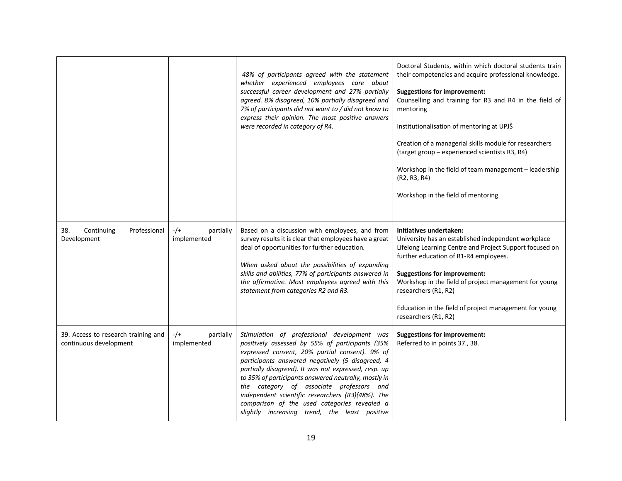|                                                               |                                   | 48% of participants agreed with the statement<br>whether experienced employees care about<br>successful career development and 27% partially<br>agreed. 8% disagreed, 10% partially disagreed and<br>7% of participants did not want to / did not know to<br>express their opinion. The most positive answers<br>were recorded in category of R4.                                                                                                                                                                      | Doctoral Students, within which doctoral students train<br>their competencies and acquire professional knowledge.<br><b>Suggestions for improvement:</b><br>Counselling and training for R3 and R4 in the field of<br>mentoring<br>Institutionalisation of mentoring at UPJŠ<br>Creation of a managerial skills module for researchers<br>(target group - experienced scientists R3, R4)<br>Workshop in the field of team management - leadership<br>(R2, R3, R4)<br>Workshop in the field of mentoring |
|---------------------------------------------------------------|-----------------------------------|------------------------------------------------------------------------------------------------------------------------------------------------------------------------------------------------------------------------------------------------------------------------------------------------------------------------------------------------------------------------------------------------------------------------------------------------------------------------------------------------------------------------|---------------------------------------------------------------------------------------------------------------------------------------------------------------------------------------------------------------------------------------------------------------------------------------------------------------------------------------------------------------------------------------------------------------------------------------------------------------------------------------------------------|
| Continuing<br>Professional<br>38.<br>Development              | $-/-$<br>partially<br>implemented | Based on a discussion with employees, and from<br>survey results it is clear that employees have a great<br>deal of opportunities for further education.<br>When asked about the possibilities of expanding<br>skills and abilities, 77% of participants answered in<br>the affirmative. Most employees agreed with this<br>statement from categories R2 and R3.                                                                                                                                                       | Initiatives undertaken:<br>University has an established independent workplace<br>Lifelong Learning Centre and Project Support focused on<br>further education of R1-R4 employees.<br><b>Suggestions for improvement:</b><br>Workshop in the field of project management for young<br>researchers (R1, R2)<br>Education in the field of project management for young<br>researchers (R1, R2)                                                                                                            |
| 39. Access to research training and<br>continuous development | $-/-$<br>partially<br>implemented | Stimulation of professional development was<br>positively assessed by 55% of participants (35%<br>expressed consent, 20% partial consent). 9% of<br>participants answered negatively (5 disagreed, 4<br>partially disagreed). It was not expressed, resp. up<br>to 35% of participants answered neutrally, mostly in<br>the category of associate professors and<br>independent scientific researchers (R3)(48%). The<br>comparison of the used categories revealed a<br>slightly increasing trend, the least positive | <b>Suggestions for improvement:</b><br>Referred to in points 37., 38.                                                                                                                                                                                                                                                                                                                                                                                                                                   |